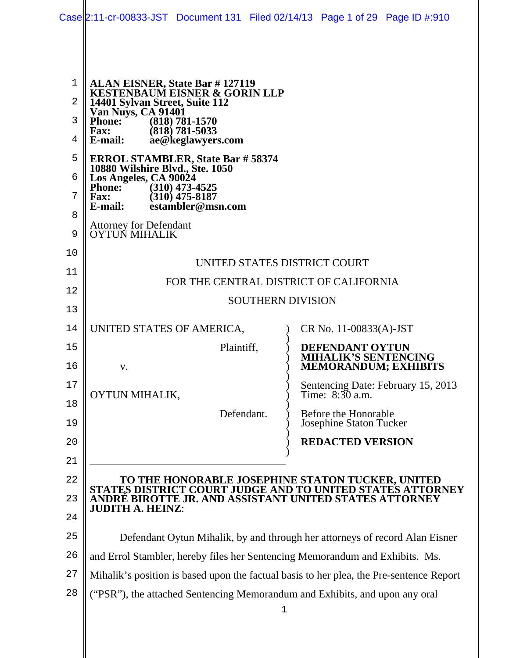|          | Case $2:11$ -cr-00833-JST Document 131 Filed 02/14/13 Page 1 of 29 Page ID #:910        |                                                  |   |                                                        |                                                                             |
|----------|-----------------------------------------------------------------------------------------|--------------------------------------------------|---|--------------------------------------------------------|-----------------------------------------------------------------------------|
|          |                                                                                         |                                                  |   |                                                        |                                                                             |
|          |                                                                                         |                                                  |   |                                                        |                                                                             |
| 1        | <b>ALAN EISNER, State Bar #127119</b>                                                   |                                                  |   |                                                        |                                                                             |
| 2        | <b>KESTENBAUM EISNER &amp; GORIN LLP</b><br>14401 Sylvan Street, Suite 112              |                                                  |   |                                                        |                                                                             |
| 3        | Van Nuys, CA 91401<br>Phone:                                                            | $(818) 781 - 1570$                               |   |                                                        |                                                                             |
| 4        | <b>Fax:</b><br>E-mail:                                                                  | $(818)$ 781-5033<br>ae@keglawyers.com            |   |                                                        |                                                                             |
| 5        | ERROL STAMBLER, State Bar # 58374<br>10880 Wilshire Blvd., Ste. 1050                    |                                                  |   |                                                        |                                                                             |
| 6        | Los Angeles, CA 90024                                                                   |                                                  |   |                                                        |                                                                             |
| 7        | <b>Phone:</b><br><b>Fax:</b>                                                            | $(310)$ 473-4525<br>$(310)$ 475-8187             |   |                                                        |                                                                             |
| 8        | E-mail:                                                                                 | estambler@msn.com                                |   |                                                        |                                                                             |
| 9        | <b>Attorney for Defendant OYTUN MIHALIK</b>                                             |                                                  |   |                                                        |                                                                             |
| 10       | UNITED STATES DISTRICT COURT                                                            |                                                  |   |                                                        |                                                                             |
| 11       | FOR THE CENTRAL DISTRICT OF CALIFORNIA                                                  |                                                  |   |                                                        |                                                                             |
| 12       | <b>SOUTHERN DIVISION</b>                                                                |                                                  |   |                                                        |                                                                             |
| 13       |                                                                                         |                                                  |   |                                                        |                                                                             |
| 14       | UNITED STATES OF AMERICA,                                                               |                                                  |   | CR No. 11-00833(A)-JST                                 |                                                                             |
| 15       |                                                                                         | Plaintiff,                                       |   | <b>DEFENDANT OYTUN</b><br><b>MIHALIK'S SENTENCING</b>  |                                                                             |
| 16       | V.                                                                                      |                                                  |   | <b>MEMORANDUM; EXHIBITS</b>                            |                                                                             |
| $17$     | OYTUN MIHALIK,                                                                          |                                                  |   | Time: 8:30 a.m.                                        | Sentencing Date: February 15, 2013                                          |
| 18<br>19 |                                                                                         | Defendant.                                       |   | Before the Honorable<br><b>Josephine Staton Tucker</b> |                                                                             |
| 20       |                                                                                         |                                                  |   | <b>REDACTED VERSION</b>                                |                                                                             |
| 21       |                                                                                         |                                                  |   |                                                        |                                                                             |
| 22       |                                                                                         | TO THE HONORABLE JOSEPHINE STATON TUCKER, UNITED |   |                                                        |                                                                             |
| 23       | ANDRE BIROTTE JR. AND ASSISTANT UNITED STATES ATTORNEY                                  |                                                  |   |                                                        | STATES DISTRICT COURT JUDGE AND TO UNITED STATES ATTORNEY                   |
| 24       | <b>JUDITH A. HEINZ:</b>                                                                 |                                                  |   |                                                        |                                                                             |
| 25       |                                                                                         |                                                  |   |                                                        | Defendant Oytun Mihalik, by and through her attorneys of record Alan Eisner |
| 26       | and Errol Stambler, hereby files her Sentencing Memorandum and Exhibits. Ms.            |                                                  |   |                                                        |                                                                             |
| 27       | Mihalik's position is based upon the factual basis to her plea, the Pre-sentence Report |                                                  |   |                                                        |                                                                             |
| 28       | ("PSR"), the attached Sentencing Memorandum and Exhibits, and upon any oral             |                                                  |   |                                                        |                                                                             |
|          |                                                                                         |                                                  | 1 |                                                        |                                                                             |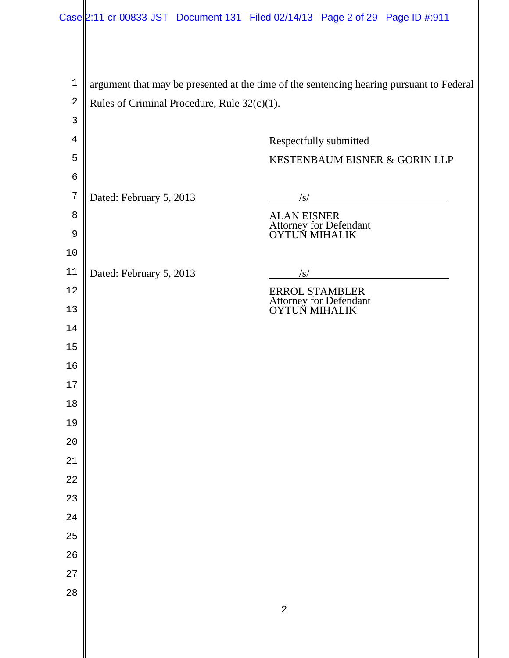$\parallel$ 

| $\mathbf{1}$   |                                             | argument that may be presented at the time of the sentencing hearing pursuant to Federal |
|----------------|---------------------------------------------|------------------------------------------------------------------------------------------|
| $\overline{2}$ | Rules of Criminal Procedure, Rule 32(c)(1). |                                                                                          |
| 3              |                                             |                                                                                          |
| 4              |                                             | Respectfully submitted                                                                   |
| 5              |                                             | KESTENBAUM EISNER & GORIN LLP                                                            |
| 6              |                                             |                                                                                          |
| 7              | Dated: February 5, 2013                     | $\sqrt{s}$<br><u> 1980 - Andrea Station Books, amerikansk politik (d. 1980)</u>          |
| 8              |                                             | <b>ALAN EISNER</b>                                                                       |
| 9              |                                             | <b>Attorney for Defendant<br/>OYTUN MIHALIK</b>                                          |
| 10             |                                             |                                                                                          |
| 11             | Dated: February 5, 2013                     | $\sqrt{s}$                                                                               |
| 12             |                                             | ERROL STAMBLER<br>Attorney for Defendant<br>OYTUN MIHALIK                                |
| 13             |                                             |                                                                                          |
| 14             |                                             |                                                                                          |
| 15             |                                             |                                                                                          |
| 16             |                                             |                                                                                          |
| 17             |                                             |                                                                                          |
| 18             |                                             |                                                                                          |
| 19             |                                             |                                                                                          |
| 20             |                                             |                                                                                          |
| 21<br>22       |                                             |                                                                                          |
| 23             |                                             |                                                                                          |
| 24             |                                             |                                                                                          |
| 25             |                                             |                                                                                          |
| 26             |                                             |                                                                                          |
| 27             |                                             |                                                                                          |
| 28             |                                             |                                                                                          |
|                |                                             | $\overline{2}$                                                                           |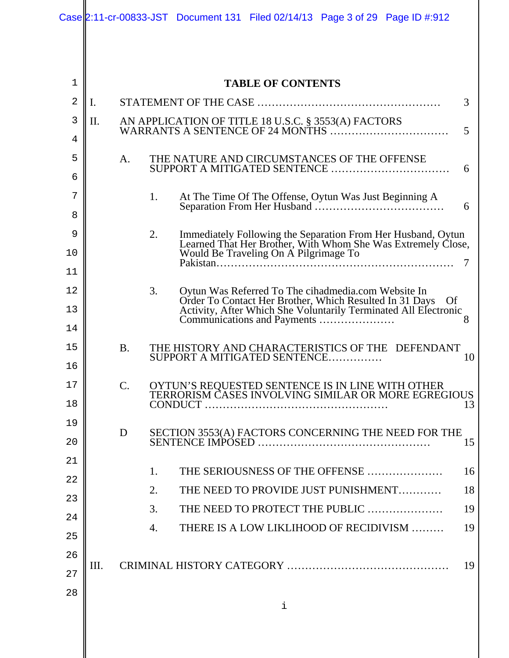|                |     |             |    | Case $2:11$ -cr-00833-JST Document 131 Filed 02/14/13 Page 3 of 29 Page ID #:912 |                                                                                                                |                                                                                                                                                                       |    |
|----------------|-----|-------------|----|----------------------------------------------------------------------------------|----------------------------------------------------------------------------------------------------------------|-----------------------------------------------------------------------------------------------------------------------------------------------------------------------|----|
|                |     |             |    |                                                                                  |                                                                                                                |                                                                                                                                                                       |    |
| $\mathbf 1$    |     |             |    |                                                                                  | <b>TABLE OF CONTENTS</b>                                                                                       |                                                                                                                                                                       |    |
| $\overline{2}$ | Ι.  |             |    |                                                                                  |                                                                                                                |                                                                                                                                                                       | 3  |
| 3              | II. |             |    |                                                                                  |                                                                                                                |                                                                                                                                                                       | 5  |
| 4              |     |             |    |                                                                                  |                                                                                                                |                                                                                                                                                                       |    |
| 5              |     | A.          |    | THE NATURE AND CIRCUMSTANCES OF THE OFFENSE                                      |                                                                                                                |                                                                                                                                                                       | 6  |
| 6              |     |             |    |                                                                                  |                                                                                                                |                                                                                                                                                                       |    |
| 7              |     |             | 1. |                                                                                  |                                                                                                                |                                                                                                                                                                       | 6  |
| 8              |     |             |    |                                                                                  |                                                                                                                |                                                                                                                                                                       |    |
| 9              |     |             | 2. |                                                                                  |                                                                                                                | Immediately Following the Separation From Her Husband, Oytun<br>Learned That Her Brother, With Whom She Was Extremely Close,<br>Would Be Traveling On A Pilgrimage To |    |
| 10             |     |             |    |                                                                                  |                                                                                                                |                                                                                                                                                                       |    |
| 11             |     |             |    |                                                                                  |                                                                                                                |                                                                                                                                                                       |    |
| 12             |     |             | 3. |                                                                                  | Oytun Was Referred To The cihadmedia.com Website In<br>Order To Contact Her Brother, Which Resulted In 31 Days | Of                                                                                                                                                                    |    |
| 13             |     |             |    |                                                                                  |                                                                                                                | Activity, After Which She Voluntarily Terminated All Electronic                                                                                                       | 8  |
| 14             |     |             |    |                                                                                  |                                                                                                                |                                                                                                                                                                       |    |
| 15             |     | <b>B.</b>   |    | SUPPORT A MITIGATED SENTENCE                                                     |                                                                                                                | THE HISTORY AND CHARACTERISTICS OF THE DEFENDANT                                                                                                                      | 10 |
| 16             |     |             |    |                                                                                  |                                                                                                                |                                                                                                                                                                       |    |
| 17             |     | $C_{\cdot}$ |    |                                                                                  |                                                                                                                | OYTUN'S REQUESTED SENTENCE IS IN LINE WITH OTHER<br>TERRORISM CASES INVOLVING SIMILAR OR MORE EGREGIOUS                                                               |    |
| 18             |     |             |    |                                                                                  |                                                                                                                |                                                                                                                                                                       | 13 |
| 19             |     | D           |    |                                                                                  |                                                                                                                | SECTION 3553(A) FACTORS CONCERNING THE NEED FOR THE                                                                                                                   |    |
| 20             |     |             |    |                                                                                  |                                                                                                                |                                                                                                                                                                       | 15 |
| 21             |     |             | 1. |                                                                                  | THE SERIOUSNESS OF THE OFFENSE                                                                                 |                                                                                                                                                                       | 16 |
| 22             |     |             | 2. |                                                                                  | THE NEED TO PROVIDE JUST PUNISHMENT                                                                            |                                                                                                                                                                       | 18 |
| 23             |     |             | 3. |                                                                                  | THE NEED TO PROTECT THE PUBLIC                                                                                 |                                                                                                                                                                       | 19 |
| 24             |     |             | 4. |                                                                                  | THERE IS A LOW LIKLIHOOD OF RECIDIVISM                                                                         |                                                                                                                                                                       | 19 |
| 25<br>26       |     |             |    |                                                                                  |                                                                                                                |                                                                                                                                                                       |    |
| 27             | Ш.  |             |    |                                                                                  |                                                                                                                |                                                                                                                                                                       | 19 |
| 28             |     |             |    |                                                                                  |                                                                                                                |                                                                                                                                                                       |    |
|                |     |             |    |                                                                                  | i                                                                                                              |                                                                                                                                                                       |    |
|                |     |             |    |                                                                                  |                                                                                                                |                                                                                                                                                                       |    |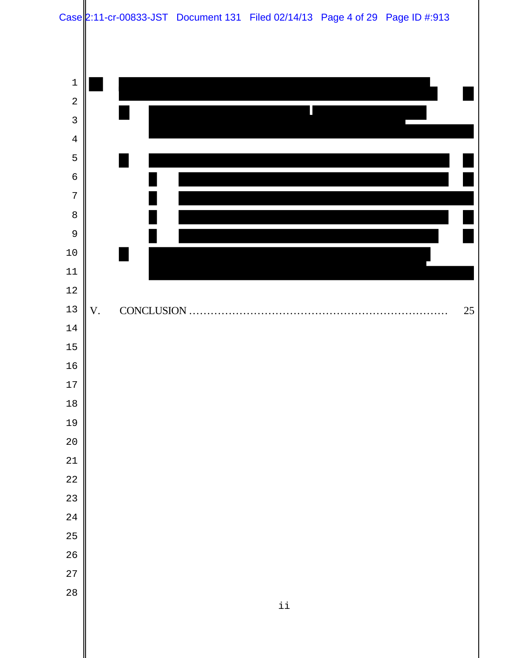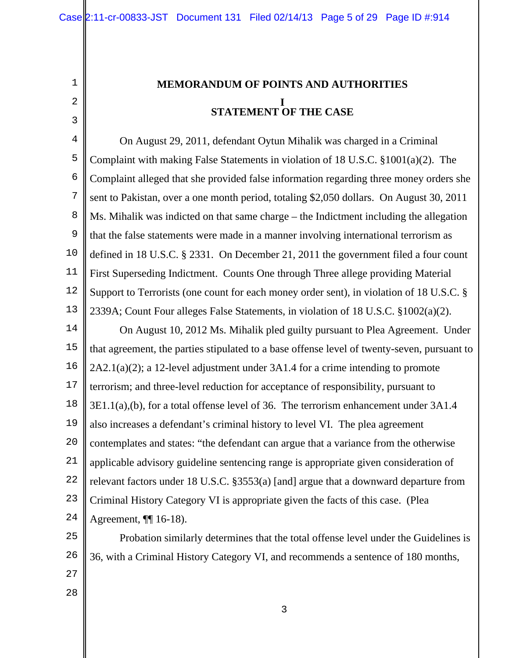2

3

#### **MEMORANDUM OF POINTS AND AUTHORITIES I STATEMENT OF THE CASE**

4 5 6 7 8 9 10 11 12 13 14 15 16 17 18 19 20 21 22 23 24 On August 29, 2011, defendant Oytun Mihalik was charged in a Criminal Complaint with making False Statements in violation of 18 U.S.C. §1001(a)(2). The Complaint alleged that she provided false information regarding three money orders she sent to Pakistan, over a one month period, totaling \$2,050 dollars. On August 30, 2011 Ms. Mihalik was indicted on that same charge – the Indictment including the allegation that the false statements were made in a manner involving international terrorism as defined in 18 U.S.C. § 2331. On December 21, 2011 the government filed a four count First Superseding Indictment. Counts One through Three allege providing Material Support to Terrorists (one count for each money order sent), in violation of 18 U.S.C. § 2339A; Count Four alleges False Statements, in violation of 18 U.S.C. §1002(a)(2). On August 10, 2012 Ms. Mihalik pled guilty pursuant to Plea Agreement. Under that agreement, the parties stipulated to a base offense level of twenty-seven, pursuant to 2A2.1(a)(2); a 12-level adjustment under 3A1.4 for a crime intending to promote terrorism; and three-level reduction for acceptance of responsibility, pursuant to 3E1.1(a),(b), for a total offense level of 36. The terrorism enhancement under 3A1.4 also increases a defendant's criminal history to level VI. The plea agreement contemplates and states: "the defendant can argue that a variance from the otherwise applicable advisory guideline sentencing range is appropriate given consideration of relevant factors under 18 U.S.C. §3553(a) [and] argue that a downward departure from Criminal History Category VI is appropriate given the facts of this case. (Plea Agreement, ¶¶ 16-18).

25 26 27 28 Probation similarly determines that the total offense level under the Guidelines is 36, with a Criminal History Category VI, and recommends a sentence of 180 months,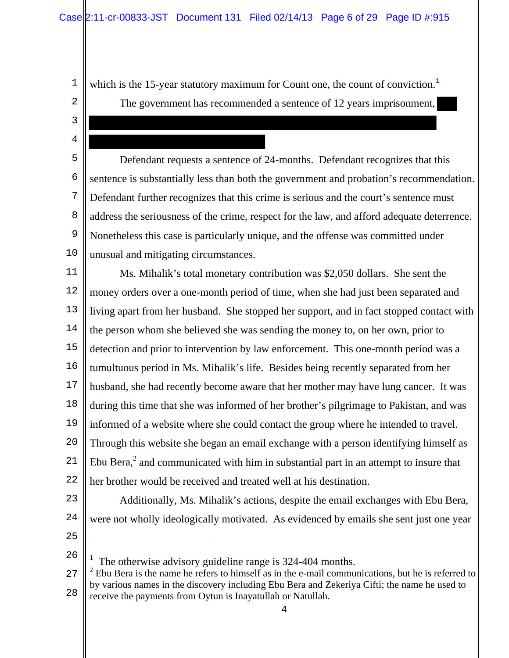which is the 15-year statutory maximum for Count one, the count of conviction. $1$ The government has recommended a sentence of 12 years imprisonment,

5 6 7 8 9 10 Defendant requests a sentence of 24-months. Defendant recognizes that this sentence is substantially less than both the government and probation's recommendation. Defendant further recognizes that this crime is serious and the court's sentence must address the seriousness of the crime, respect for the law, and afford adequate deterrence. Nonetheless this case is particularly unique, and the offense was committed under unusual and mitigating circumstances.

11 12 13 14 15 16 17 18 19 20 21 22 Ms. Mihalik's total monetary contribution was \$2,050 dollars. She sent the money orders over a one-month period of time, when she had just been separated and living apart from her husband. She stopped her support, and in fact stopped contact with the person whom she believed she was sending the money to, on her own, prior to detection and prior to intervention by law enforcement. This one-month period was a tumultuous period in Ms. Mihalik's life. Besides being recently separated from her husband, she had recently become aware that her mother may have lung cancer. It was during this time that she was informed of her brother's pilgrimage to Pakistan, and was informed of a website where she could contact the group where he intended to travel. Through this website she began an email exchange with a person identifying himself as Ebu Bera, $^2$  and communicated with him in substantial part in an attempt to insure that her brother would be received and treated well at his destination.

23

24

1

2

3

4

 Additionally, Ms. Mihalik's actions, despite the email exchanges with Ebu Bera, were not wholly ideologically motivated. As evidenced by emails she sent just one year

25

i<br>Li

<sup>26</sup> 1 The otherwise advisory guideline range is 324-404 months.

<sup>27</sup> 28 2 Ebu Bera is the name he refers to himself as in the e-mail communications, but he is referred to by various names in the discovery including Ebu Bera and Zekeriya Cifti; the name he used to receive the payments from Oytun is Inayatullah or Natullah.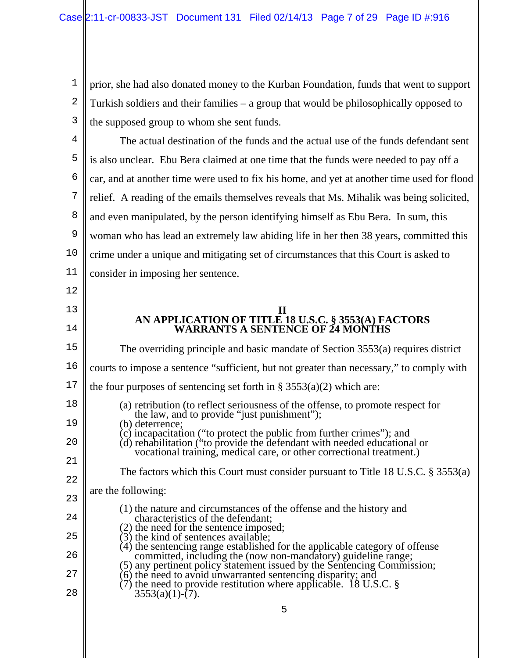1 2 3 prior, she had also donated money to the Kurban Foundation, funds that went to support Turkish soldiers and their families – a group that would be philosophically opposed to the supposed group to whom she sent funds.

5 4 5 6 7 8 9 10 11 12 13 14 15 16 17 18 19 20 21 22 23 24 25 26 27 28 The actual destination of the funds and the actual use of the funds defendant sent is also unclear. Ebu Bera claimed at one time that the funds were needed to pay off a car, and at another time were used to fix his home, and yet at another time used for flood relief. A reading of the emails themselves reveals that Ms. Mihalik was being solicited, and even manipulated, by the person identifying himself as Ebu Bera. In sum, this woman who has lead an extremely law abiding life in her then 38 years, committed this crime under a unique and mitigating set of circumstances that this Court is asked to consider in imposing her sentence. **II AN APPLICATION OF TITLE 18 U.S.C. § 3553(A) FACTORS WARRANTS A SENTENCE OF 24 MONTHS**  The overriding principle and basic mandate of Section 3553(a) requires district courts to impose a sentence "sufficient, but not greater than necessary," to comply with the four purposes of sentencing set forth in  $\S 3553(a)(2)$  which are: (a) retribution (to reflect seriousness of the offense, to promote respect for the law, and to provide "just punishment"); (b) deterrence; (c) incapacitation ("to protect the public from further crimes"); and (d) rehabilitation ("to provide the defendant with needed educational or vocational training, medical care, or other correctional treatment.) The factors which this Court must consider pursuant to Title 18 U.S.C. § 3553(a) are the following: (1) the nature and circumstances of the offense and the history and characteristics of the defendant; (2) the need for the sentence imposed;<br>  $(3)$  the kind of sentences available;<br>  $(4)$  the sentencing range established for the applicable category of offense committed, including the (now non-mandatory) guideline range;<br>(5) any pertinent policy statement issued by the Sentencing Commission;<br>(6) the need to avoid unwarranted sentencing disparity; and<br>(7) the need to provide res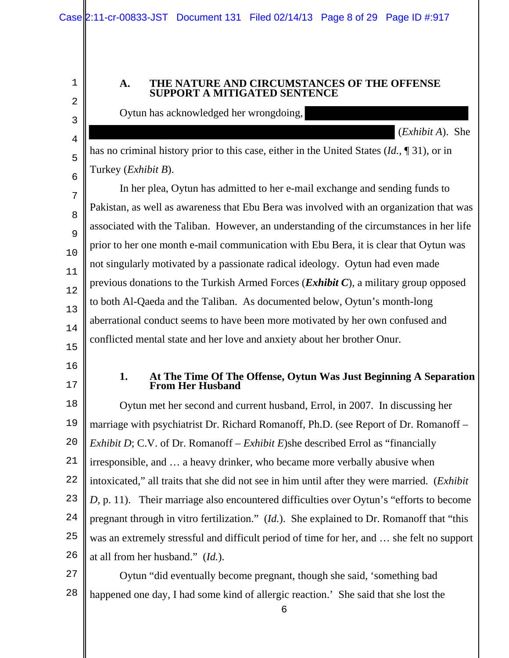3

4

5

6

7

8

9

10

11

12

13

14

15

#### **A. THE NATURE AND CIRCUMSTANCES OF THE OFFENSE SUPPORT A MITIGATED SENTENCE**

Oytun has acknowledged her wrongdoing,

(*Exhibit A*). She

has no criminal history prior to this case, either in the United States (*Id.*, ¶ 31), or in Turkey (*Exhibit B*).

In her plea, Oytun has admitted to her e-mail exchange and sending funds to Pakistan, as well as awareness that Ebu Bera was involved with an organization that was associated with the Taliban. However, an understanding of the circumstances in her life prior to her one month e-mail communication with Ebu Bera, it is clear that Oytun was not singularly motivated by a passionate radical ideology. Oytun had even made previous donations to the Turkish Armed Forces (*Exhibit C*), a military group opposed to both Al-Qaeda and the Taliban. As documented below, Oytun's month-long aberrational conduct seems to have been more motivated by her own confused and conflicted mental state and her love and anxiety about her brother Onur.

- 16
- 17

# **1. At The Time Of The Offense, Oytun Was Just Beginning A Separation From Her Husband**

18 19 20 21 22 23 24 25 26 Oytun met her second and current husband, Errol, in 2007. In discussing her marriage with psychiatrist Dr. Richard Romanoff, Ph.D. (see Report of Dr. Romanoff – *Exhibit D*; C.V. of Dr. Romanoff – *Exhibit E*)she described Errol as "financially irresponsible, and … a heavy drinker, who became more verbally abusive when intoxicated," all traits that she did not see in him until after they were married. (*Exhibit D,* p. 11). Their marriage also encountered difficulties over Oytun's "efforts to become pregnant through in vitro fertilization." (*Id.*). She explained to Dr. Romanoff that "this was an extremely stressful and difficult period of time for her, and … she felt no support at all from her husband." (*Id.*).

27 28 Oytun "did eventually become pregnant, though she said, 'something bad happened one day, I had some kind of allergic reaction.' She said that she lost the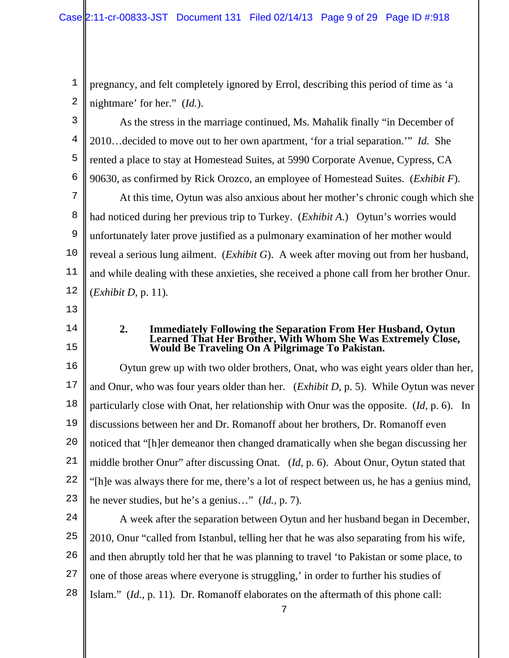1 2 pregnancy, and felt completely ignored by Errol, describing this period of time as 'a nightmare' for her." (*Id.*).

3 4 5 6 As the stress in the marriage continued, Ms. Mahalik finally "in December of 2010…decided to move out to her own apartment, 'for a trial separation.'" *Id.* She rented a place to stay at Homestead Suites, at 5990 Corporate Avenue, Cypress, CA 90630, as confirmed by Rick Orozco, an employee of Homestead Suites. (*Exhibit F*).

7 8 9 10 11 12 At this time, Oytun was also anxious about her mother's chronic cough which she had noticed during her previous trip to Turkey. (*Exhibit A*.) Oytun's worries would unfortunately later prove justified as a pulmonary examination of her mother would reveal a serious lung ailment. (*Exhibit G*). A week after moving out from her husband, and while dealing with these anxieties, she received a phone call from her brother Onur. (*Exhibit D*, p. 11)*.* 

- 13
- 14 15

# **2. Immediately Following the Separation From Her Husband, Oytun Learned That Her Brother, With Whom She Was Extremely Close, Would Be Traveling On A Pilgrimage To Pakistan.**

16 17 18 19 20 21 22 23 Oytun grew up with two older brothers, Onat, who was eight years older than her, and Onur, who was four years older than her. (*Exhibit D*, p. 5). While Oytun was never particularly close with Onat, her relationship with Onur was the opposite. (*Id,* p. 6). In discussions between her and Dr. Romanoff about her brothers, Dr. Romanoff even noticed that "[h]er demeanor then changed dramatically when she began discussing her middle brother Onur" after discussing Onat. (*Id,* p. 6). About Onur, Oytun stated that "[h]e was always there for me, there's a lot of respect between us, he has a genius mind, he never studies, but he's a genius…" (*Id.*, p. 7).

24 25 26 27 28 A week after the separation between Oytun and her husband began in December, 2010, Onur "called from Istanbul, telling her that he was also separating from his wife, and then abruptly told her that he was planning to travel 'to Pakistan or some place, to one of those areas where everyone is struggling,' in order to further his studies of Islam." (*Id.*, p. 11). Dr. Romanoff elaborates on the aftermath of this phone call: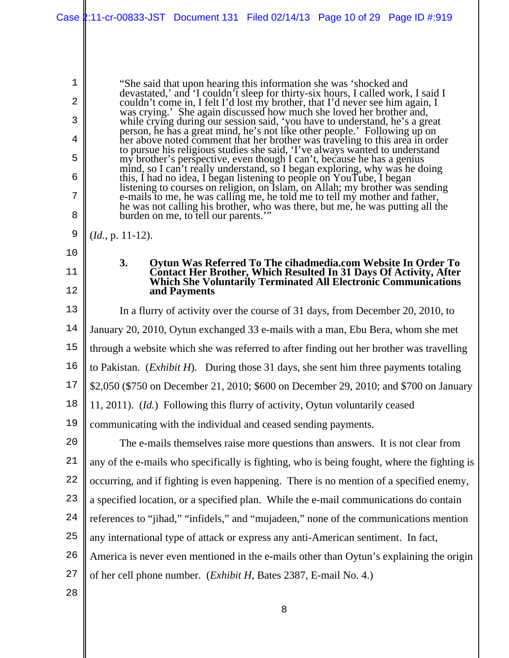|      | Case #:11-cr-00833-JST Document 131 Filed 02/14/13 Page 10 of 29 Page ID #:919                                                                                                                                                         |  |  |  |
|------|----------------------------------------------------------------------------------------------------------------------------------------------------------------------------------------------------------------------------------------|--|--|--|
| 1    |                                                                                                                                                                                                                                        |  |  |  |
| 2    | "She said that upon hearing this information she was 'shocked and<br>devastated,' and 'I couldn't sleep for thirty-six hours, I called work, I said I<br>couldn't come in, I felt I'd lost my brother, that I'd never see him again, I |  |  |  |
| 3    | was crying.' She again discussed how much she loved her brother and,<br>while crying during our session said, 'you have to understand, he's a great person, he has a great mind, he's not like other people.' Following up on          |  |  |  |
| 4    | her above noted comment that her brother was traveling to this area in order                                                                                                                                                           |  |  |  |
| 5    | to pursue his religious studies she said, 'I've always wanted to understand my brother's perspective, even though I can't, because he has a genius                                                                                     |  |  |  |
| 6    | mind, so I can't really understand, so I began exploring, why was he doing<br>this, I had no idea, I began listening to people on YouTube, I began<br>listening to courses on religion, on Islam, on Allah; my brother was sending     |  |  |  |
| 7    | e-mails to me, he was calling me, he told me to tell my mother and father,                                                                                                                                                             |  |  |  |
| 8    | he was not calling his brother, who was there, but me, he was putting all the<br>burden on me, to tell our parents."                                                                                                                   |  |  |  |
| 9    | $(Id., p. 11-12).$                                                                                                                                                                                                                     |  |  |  |
| 10   | 3.<br>Oytun Was Referred To The cihadmedia.com Website In Order To                                                                                                                                                                     |  |  |  |
| 11   | Contact Her Brother, Which Resulted In 31 Days Of Activity, After<br><b>Which She Voluntarily Terminated All Electronic Communications</b>                                                                                             |  |  |  |
| 12   | and Payments                                                                                                                                                                                                                           |  |  |  |
| 13   | In a flurry of activity over the course of 31 days, from December 20, 2010, to                                                                                                                                                         |  |  |  |
| 14   | January 20, 2010, Oytun exchanged 33 e-mails with a man, Ebu Bera, whom she met                                                                                                                                                        |  |  |  |
| 15   | through a website which she was referred to after finding out her brother was travelling                                                                                                                                               |  |  |  |
| 16   | to Pakistan. ( <i>Exhibit H</i> ). During those 31 days, she sent him three payments totaling                                                                                                                                          |  |  |  |
| $17$ | \$2,050 (\$750 on December 21, 2010; \$600 on December 29, 2010; and \$700 on January                                                                                                                                                  |  |  |  |
| 18   | 11, 2011). (Id.) Following this flurry of activity, Oytun voluntarily ceased                                                                                                                                                           |  |  |  |
| 19   | communicating with the individual and ceased sending payments.                                                                                                                                                                         |  |  |  |
| 20   | The e-mails themselves raise more questions than answers. It is not clear from                                                                                                                                                         |  |  |  |
| 21   | any of the e-mails who specifically is fighting, who is being fought, where the fighting is                                                                                                                                            |  |  |  |
| 22   | occurring, and if fighting is even happening. There is no mention of a specified enemy,                                                                                                                                                |  |  |  |
| 23   | a specified location, or a specified plan. While the e-mail communications do contain                                                                                                                                                  |  |  |  |
| 24   | references to "jihad," "infidels," and "mujadeen," none of the communications mention                                                                                                                                                  |  |  |  |
| 25   | any international type of attack or express any anti-American sentiment. In fact,                                                                                                                                                      |  |  |  |
| 26   | America is never even mentioned in the e-mails other than Oytun's explaining the origin                                                                                                                                                |  |  |  |
| 27   | of her cell phone number. ( <i>Exhibit H</i> , Bates 2387, E-mail No. 4.)                                                                                                                                                              |  |  |  |
| 28   |                                                                                                                                                                                                                                        |  |  |  |
|      | 8                                                                                                                                                                                                                                      |  |  |  |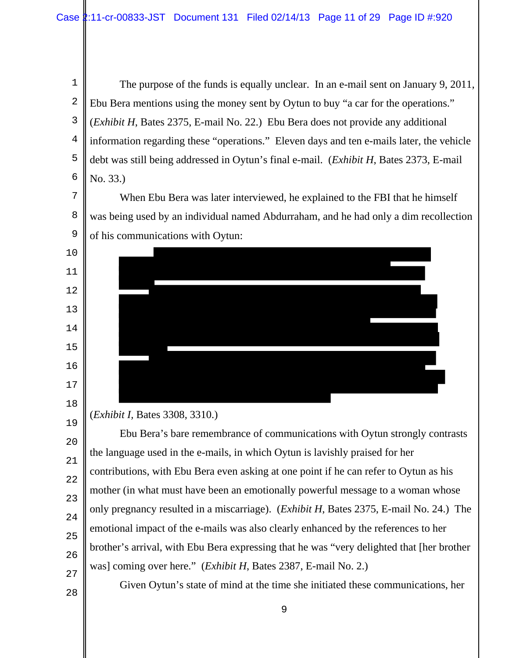1 2 3 4 5 6 The purpose of the funds is equally unclear. In an e-mail sent on January 9, 2011, Ebu Bera mentions using the money sent by Oytun to buy "a car for the operations." (*Exhibit H*, Bates 2375, E-mail No. 22.) Ebu Bera does not provide any additional information regarding these "operations." Eleven days and ten e-mails later, the vehicle debt was still being addressed in Oytun's final e-mail. (*Exhibit H*, Bates 2373, E-mail No. 33.)

 When Ebu Bera was later interviewed, he explained to the FBI that he himself was being used by an individual named Abdurraham, and he had only a dim recollection of his communications with Oytun:



#### (*Exhibit I,* Bates 3308, 3310.)

7

8

9

10

11

12

13

14

15

16

17

18

19

20

21

22

23

24

25

26

27

28

 Ebu Bera's bare remembrance of communications with Oytun strongly contrasts the language used in the e-mails, in which Oytun is lavishly praised for her contributions, with Ebu Bera even asking at one point if he can refer to Oytun as his mother (in what must have been an emotionally powerful message to a woman whose only pregnancy resulted in a miscarriage). (*Exhibit H*, Bates 2375, E-mail No. 24.) The emotional impact of the e-mails was also clearly enhanced by the references to her brother's arrival, with Ebu Bera expressing that he was "very delighted that [her brother was] coming over here." (*Exhibit H*, Bates 2387, E-mail No. 2.)

Given Oytun's state of mind at the time she initiated these communications, her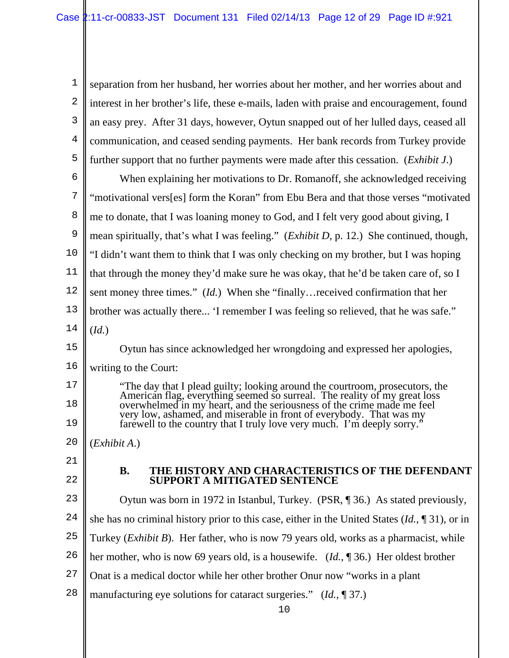1 2 3 4 5 separation from her husband, her worries about her mother, and her worries about and interest in her brother's life, these e-mails, laden with praise and encouragement, found an easy prey. After 31 days, however, Oytun snapped out of her lulled days, ceased all communication, and ceased sending payments. Her bank records from Turkey provide further support that no further payments were made after this cessation. (*Exhibit J*.)

6 7 8 9 10 11 12 13 14 When explaining her motivations to Dr. Romanoff, she acknowledged receiving "motivational vers[es] form the Koran" from Ebu Bera and that those verses "motivated me to donate, that I was loaning money to God, and I felt very good about giving, I mean spiritually, that's what I was feeling." (*Exhibit D*, p. 12.) She continued, though, "I didn't want them to think that I was only checking on my brother, but I was hoping that through the money they'd make sure he was okay, that he'd be taken care of, so I sent money three times." (*Id.*) When she "finally…received confirmation that her brother was actually there... 'I remember I was feeling so relieved, that he was safe." (*Id.*)

Oytun has since acknowledged her wrongdoing and expressed her apologies,

16 writing to the Court:

> "The day that I plead guilty; looking around the courtroom, prosecutors, the American flag, everything seemed so surreal. The reality of my great loss very low, ashamed, and miserable in front of everybody. That was my farewell to the country that I truly love very much. I'm deeply sorry."

20 (*Exhibit A*.)

21

22

15

17

18

19

 **B. THE HISTORY AND CHARACTERISTICS OF THE DEFENDANT SUPPORT A MITIGATED SENTENCE** 

23 24 25 26 27 28 Oytun was born in 1972 in Istanbul, Turkey. (PSR, ¶ 36.) As stated previously, she has no criminal history prior to this case, either in the United States (*Id.*, ¶ 31), or in Turkey (*Exhibit B*). Her father, who is now 79 years old, works as a pharmacist, while her mother, who is now 69 years old, is a housewife. (*Id.*, ¶ 36.) Her oldest brother Onat is a medical doctor while her other brother Onur now "works in a plant manufacturing eye solutions for cataract surgeries." (*Id.*, ¶ 37.)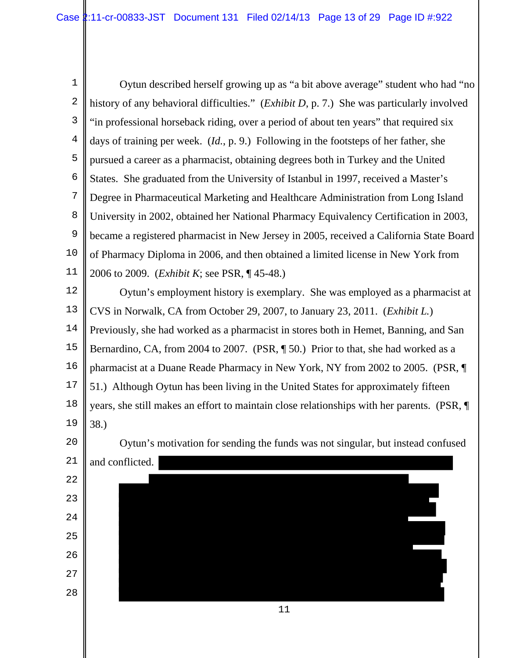1 2 3 4 5 6 7 8 9 10 11 Oytun described herself growing up as "a bit above average" student who had "no history of any behavioral difficulties." (*Exhibit D*, p. 7.) She was particularly involved "in professional horseback riding, over a period of about ten years" that required six days of training per week. (*Id.*, p. 9.) Following in the footsteps of her father, she pursued a career as a pharmacist, obtaining degrees both in Turkey and the United States. She graduated from the University of Istanbul in 1997, received a Master's Degree in Pharmaceutical Marketing and Healthcare Administration from Long Island University in 2002, obtained her National Pharmacy Equivalency Certification in 2003, became a registered pharmacist in New Jersey in 2005, received a California State Board of Pharmacy Diploma in 2006, and then obtained a limited license in New York from 2006 to 2009. (*Exhibit K*; see PSR, ¶ 45-48.)

12 13 14 15 16 17 18 19 Oytun's employment history is exemplary. She was employed as a pharmacist at CVS in Norwalk, CA from October 29, 2007, to January 23, 2011. (*Exhibit L.*) Previously, she had worked as a pharmacist in stores both in Hemet, Banning, and San Bernardino, CA, from 2004 to 2007. (PSR, ¶ 50.) Prior to that, she had worked as a pharmacist at a Duane Reade Pharmacy in New York, NY from 2002 to 2005. (PSR, ¶ 51.) Although Oytun has been living in the United States for approximately fifteen years, she still makes an effort to maintain close relationships with her parents. (PSR, ¶ 38.)

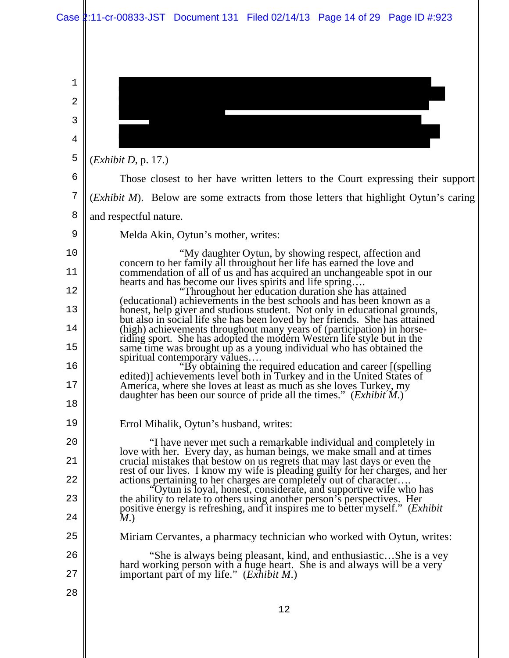|          | Case 2:11-cr-00833-JST Document 131 Filed 02/14/13 Page 14 of 29 Page ID #:923                                                                                                                                                          |
|----------|-----------------------------------------------------------------------------------------------------------------------------------------------------------------------------------------------------------------------------------------|
|          |                                                                                                                                                                                                                                         |
| 1        |                                                                                                                                                                                                                                         |
| 2        |                                                                                                                                                                                                                                         |
| 3        |                                                                                                                                                                                                                                         |
| 4        |                                                                                                                                                                                                                                         |
| 5        | (Exhibit D, p. 17.)                                                                                                                                                                                                                     |
| 6        | Those closest to her have written letters to the Court expressing their support                                                                                                                                                         |
| 7        | ( <i>Exhibit M</i> ). Below are some extracts from those letters that highlight Oytun's caring                                                                                                                                          |
| 8        | and respectful nature.                                                                                                                                                                                                                  |
| 9        | Melda Akin, Oytun's mother, writes:                                                                                                                                                                                                     |
| 10       | "My daughter Oytun, by showing respect, affection and<br>concern to her family all throughout her life has earned the love and                                                                                                          |
| 11       | commendation of all of us and has acquired an unchangeable spot in our<br>hearts and has become our lives spirits and life spring<br>"Throughout her education duration she has attained                                                |
| 12       | (educational) achievements in the best schools and has been known as a                                                                                                                                                                  |
| 13       | honest, help giver and studious student. Not only in educational grounds, but also in social life she has been loved by her friends. She has attained                                                                                   |
| 14       | (high) achievements throughout many years of (participation) in horse-<br>riding sport. She has adopted the modern Western life style but in the<br>same time was brought up as a young individual who has obtained the<br>spiritual co |
| 15       |                                                                                                                                                                                                                                         |
| 16       | "By obtaining the required education and career [(spelling)<br>edited)] achievements level both in Turkey and in the United States of                                                                                                   |
| 17       | America, where she loves at least as much as she loves Turkey, my<br>daughter has been our source of pride all the times." ( <i>Exhibit M</i> .)                                                                                        |
| 18       |                                                                                                                                                                                                                                         |
| 19       | Errol Mihalik, Oytun's husband, writes:                                                                                                                                                                                                 |
| 20       | "I have never met such a remarkable individual and completely in<br>love with her. Every day, as human beings, we make small and at times                                                                                               |
| 21       | crucial mistakes that bestow on us regrets that may last days or even the<br>rest of our lives. I know my wife is pleading guilty for her charges, and her                                                                              |
| 22       | actions pertaining to her charges are completely out of character<br>"Oytun is loyal, honest, considerate, and supportive wife who has                                                                                                  |
| 23       | the ability to relate to others using another person's perspectives. Her<br>positive energy is refreshing, and it inspires me to better myself." ( <i>Exhibit</i>                                                                       |
| 24<br>25 | $M_{\cdot}$<br>Miriam Cervantes, a pharmacy technician who worked with Oytun, writes:                                                                                                                                                   |
| 26       | "She is always being pleasant, kind, and enthusiasticShe is a vey                                                                                                                                                                       |
| 27       | hard working person with a huge heart. She is and always will be a very<br>important part of my life." (Exhibit M.)                                                                                                                     |
| 28       |                                                                                                                                                                                                                                         |
|          | 12                                                                                                                                                                                                                                      |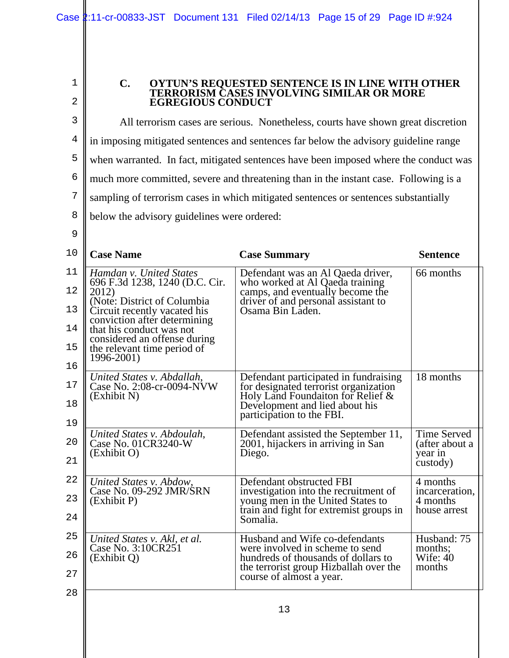#### **C. OYTUN'S REQUESTED SENTENCE IS IN LINE WITH OTHER TERRORISM CASES INVOLVING SIMILAR OR MORE EGREGIOUS CONDUCT**

3 4 5 6 7 8 All terrorism cases are serious. Nonetheless, courts have shown great discretion in imposing mitigated sentences and sentences far below the advisory guideline range when warranted. In fact, mitigated sentences have been imposed where the conduct was much more committed, severe and threatening than in the instant case. Following is a sampling of terrorism cases in which mitigated sentences or sentences substantially below the advisory guidelines were ordered:

| 10 | <b>Case Name</b>                                                          | <b>Case Summary</b>                                                                                                   | <b>Sentence</b>                            |  |
|----|---------------------------------------------------------------------------|-----------------------------------------------------------------------------------------------------------------------|--------------------------------------------|--|
| 11 | Hamdan v. United States<br>696 F.3d 1238, 1240 (D.C. Cir.                 | Defendant was an Al Qaeda driver,<br>who worked at Al Qaeda training                                                  | 66 months                                  |  |
| 12 | 2012)                                                                     | camps, and eventually become the                                                                                      |                                            |  |
| 13 | (Note: District of Columbia)<br>Circuit recently vacated his              | driver of and personal assistant to<br>Osama Bin Laden.                                                               |                                            |  |
| 14 | conviction after determining<br>that his conduct was not                  |                                                                                                                       |                                            |  |
| 15 | considered an offense during<br>the relevant time period of<br>1996-2001) |                                                                                                                       |                                            |  |
| 16 |                                                                           |                                                                                                                       |                                            |  |
| 17 | United States v. Abdallah,<br>Case No. 2:08-cr-0094-NVW                   | Defendant participated in fundraising<br>for designated terrorist organization                                        | 18 months                                  |  |
| 18 | (Exhibit N)                                                               | Holy Land Foundaiton for Relief &<br>Development and lied about his<br>participation to the FBI.                      |                                            |  |
| 19 |                                                                           |                                                                                                                       |                                            |  |
| 20 | United States v. Abdoulah,<br>Case No. 01CR3240-W                         | Defendant assisted the September 11,<br>2001, hijackers in arriving in San                                            | <b>Time Served</b><br>(after about a       |  |
| 21 | (Exhibit O)                                                               | Diego.                                                                                                                | year in<br>custody)                        |  |
| 22 | United States v. Abdow,                                                   | Defendant obstructed FBI                                                                                              | 4 months                                   |  |
| 23 | Case No. 09-292 JMR/SRN<br>(Exhibit P)                                    | investigation into the recruitment of<br>young men in the United States to<br>train and fight for extremist groups in | incarceration,<br>4 months<br>house arrest |  |
| 24 |                                                                           | Somalia.                                                                                                              |                                            |  |
| 25 | United States v. Akl, et al.                                              | Husband and Wife co-defendants                                                                                        | Husband: 75                                |  |
| 26 | Case No. 3:10CR251<br>(Exhibit Q)                                         | were involved in scheme to send<br>hundreds of thousands of dollars to                                                | months;<br>Wife: 40                        |  |
| 27 |                                                                           | the terrorist group Hizballah over the<br>course of almost a year.                                                    | months                                     |  |
| 28 |                                                                           |                                                                                                                       |                                            |  |
|    |                                                                           | 13                                                                                                                    |                                            |  |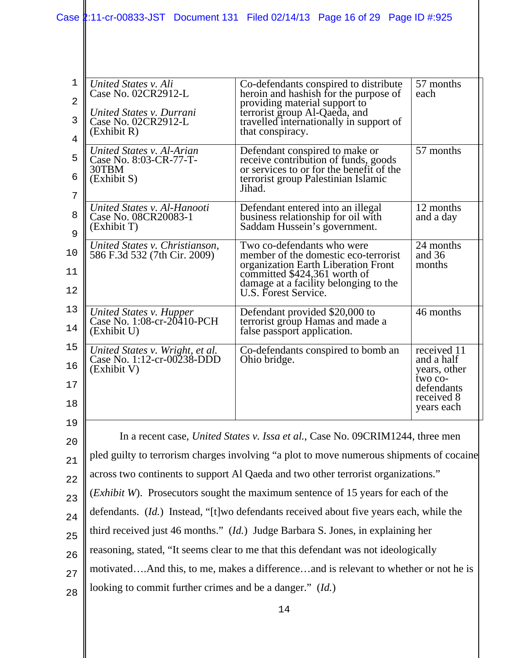|                      |                                                                                                                                                                                    | Case 2:11-cr-00833-JST Document 131 Filed 02/14/13 Page 16 of 29 Page ID #:925                                                                                                                                  |                                                                                                |
|----------------------|------------------------------------------------------------------------------------------------------------------------------------------------------------------------------------|-----------------------------------------------------------------------------------------------------------------------------------------------------------------------------------------------------------------|------------------------------------------------------------------------------------------------|
|                      |                                                                                                                                                                                    |                                                                                                                                                                                                                 |                                                                                                |
| 1<br>2<br>3<br>4     | United States v. Ali<br>Case No. 02CR2912-L<br>United States v. Durrani<br>Case No. 02CR2912-L<br>(Exhibit R)                                                                      | Co-defendants conspired to distribute<br>heroin and hashish for the purpose of<br>providing material support to<br>terrorist group Al-Qaeda, and<br>travelled internationally in support of<br>that conspiracy. | 57 months<br>each                                                                              |
| 5<br>6<br>7          | United States v. Al-Arian<br>Case No. 8:03-CR-77-T-<br>30TBM<br>(Exhibit S)                                                                                                        | Defendant conspired to make or<br>receive contribution of funds, goods<br>or services to or for the benefit of the<br>terrorist group Palestinian Islamic<br>Jihad.                                             | 57 months                                                                                      |
| 8<br>9               | United States v. Al-Hanooti<br>Case No. 08CR20083-1<br>(Exhibit T)                                                                                                                 | Defendant entered into an illegal<br>business relationship for oil with<br>Saddam Hussein's government.                                                                                                         | 12 months<br>and a day                                                                         |
| 10                   | United States v. Christianson,<br>586 F.3d 532 (7th Cir. 2009)                                                                                                                     | Two co-defendants who were<br>member of the domestic eco-terrorist<br>organization Earth Liberation Front                                                                                                       | 24 months<br>and $36$<br>months                                                                |
| 11<br>12             |                                                                                                                                                                                    | committed \$424,361 worth of<br>damage at a facility belonging to the<br>U.S. Forest Service.                                                                                                                   |                                                                                                |
| 13<br>14             | United States v. Hupper<br>Case No. 1:08-cr-20410-PCH<br>(Exhibit U)                                                                                                               | Defendant provided \$20,000 to<br>terrorist group Hamas and made a<br>false passport application.                                                                                                               | 46 months                                                                                      |
| 15<br>16<br>17<br>18 | United States v. Wright, et al.<br>Case No. 1:12-cr-00238-DDD<br>(Exhibit V)                                                                                                       | Co-defendants conspired to bomb an<br>Ohio bridge.                                                                                                                                                              | received 11<br>and a half<br>years, other<br>two co-<br>defendants<br>received 8<br>years each |
| 19                   |                                                                                                                                                                                    |                                                                                                                                                                                                                 |                                                                                                |
| 20                   | In a recent case, <i>United States v. Issa et al.</i> , Case No. 09CRIM1244, three men<br>pled guilty to terrorism charges involving "a plot to move numerous shipments of cocaine |                                                                                                                                                                                                                 |                                                                                                |
| 21                   | across two continents to support Al Qaeda and two other terrorist organizations."                                                                                                  |                                                                                                                                                                                                                 |                                                                                                |
| 22<br>23             | (Exhibit W). Prosecutors sought the maximum sentence of 15 years for each of the                                                                                                   |                                                                                                                                                                                                                 |                                                                                                |
| 24                   | defendants. (Id.) Instead, "[t]wo defendants received about five years each, while the                                                                                             |                                                                                                                                                                                                                 |                                                                                                |
| 25                   | third received just 46 months." $(Id.)$ Judge Barbara S. Jones, in explaining her                                                                                                  |                                                                                                                                                                                                                 |                                                                                                |
| 26                   |                                                                                                                                                                                    | reasoning, stated, "It seems clear to me that this defendant was not ideologically                                                                                                                              |                                                                                                |
| 27                   |                                                                                                                                                                                    | motivatedAnd this, to me, makes a differenceand is relevant to whether or not he is                                                                                                                             |                                                                                                |
| 28                   | looking to commit further crimes and be a danger." (Id.)                                                                                                                           |                                                                                                                                                                                                                 |                                                                                                |
|                      |                                                                                                                                                                                    | 14                                                                                                                                                                                                              |                                                                                                |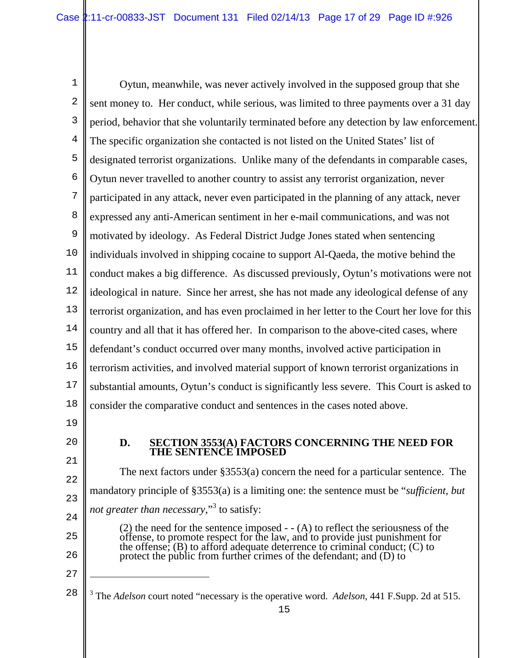1 2 3 4 5 6 7 8 9 10 11 12 13 14 15 16 17 18 19 20 Oytun, meanwhile, was never actively involved in the supposed group that she sent money to. Her conduct, while serious, was limited to three payments over a 31 day period, behavior that she voluntarily terminated before any detection by law enforcement. The specific organization she contacted is not listed on the United States' list of designated terrorist organizations. Unlike many of the defendants in comparable cases, Oytun never travelled to another country to assist any terrorist organization, never participated in any attack, never even participated in the planning of any attack, never expressed any anti-American sentiment in her e-mail communications, and was not motivated by ideology. As Federal District Judge Jones stated when sentencing individuals involved in shipping cocaine to support Al-Qaeda, the motive behind the conduct makes a big difference. As discussed previously, Oytun's motivations were not ideological in nature. Since her arrest, she has not made any ideological defense of any terrorist organization, and has even proclaimed in her letter to the Court her love for this country and all that it has offered her. In comparison to the above-cited cases, where defendant's conduct occurred over many months, involved active participation in terrorism activities, and involved material support of known terrorist organizations in substantial amounts, Oytun's conduct is significantly less severe. This Court is asked to consider the comparative conduct and sentences in the cases noted above.

21

22

23

24

25

26

#### **D. SECTION 3553(A) FACTORS CONCERNING THE NEED FOR THE SENTENCE IMPOSED**

 The next factors under §3553(a) concern the need for a particular sentence. The mandatory principle of §3553(a) is a limiting one: the sentence must be "*sufficient, but*  n*ot greater than necessary*,"<sup>3</sup> to satisfy:

(2) the need for the sentence imposed - - (A) to reflect the seriousness of the offense, to promote respect for the law, and to provide just punishment for the offense; (B) to afford adequate deterrence to criminal conduct; (C) to the offense;  $(B)$  to afford adequate deterrence to criminal conduct;  $(C)$  to protect the public from further crimes of the defendant; and  $(D)$  to

27 28

i

<sup>3</sup> The *Adelson* court noted "necessary is the operative word. *Adelson*, 441 F.Supp. 2d at 515.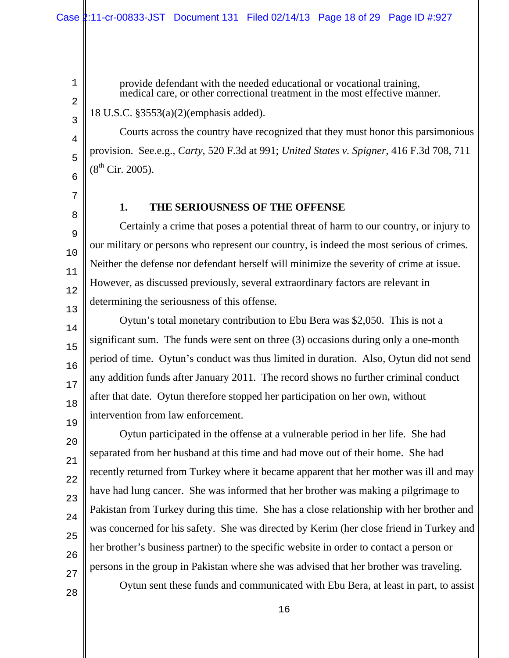provide defendant with the needed educational or vocational training, medical care, or other correctional treatment in the most effective manner.

18 U.S.C. §3553(a)(2)(emphasis added).

 Courts across the country have recognized that they must honor this parsimonious provision. See.e.g., *Carty*, 520 F.3d at 991; *United States v. Spigner*, 416 F.3d 708, 711  $(8^{th}$  Cir. 2005).

7

8

9

10

11

12

13

14

15

16

17

18

19

20

21

22

23

24

25

26

27

1

2

3

4

5

6

#### **1. THE SERIOUSNESS OF THE OFFENSE**

 Certainly a crime that poses a potential threat of harm to our country, or injury to our military or persons who represent our country, is indeed the most serious of crimes. Neither the defense nor defendant herself will minimize the severity of crime at issue. However, as discussed previously, several extraordinary factors are relevant in determining the seriousness of this offense.

 Oytun's total monetary contribution to Ebu Bera was \$2,050. This is not a significant sum. The funds were sent on three (3) occasions during only a one-month period of time. Oytun's conduct was thus limited in duration. Also, Oytun did not send any addition funds after January 2011. The record shows no further criminal conduct after that date. Oytun therefore stopped her participation on her own, without intervention from law enforcement.

 Oytun participated in the offense at a vulnerable period in her life. She had separated from her husband at this time and had move out of their home. She had recently returned from Turkey where it became apparent that her mother was ill and may have had lung cancer. She was informed that her brother was making a pilgrimage to Pakistan from Turkey during this time. She has a close relationship with her brother and was concerned for his safety. She was directed by Kerim (her close friend in Turkey and her brother's business partner) to the specific website in order to contact a person or persons in the group in Pakistan where she was advised that her brother was traveling. Oytun sent these funds and communicated with Ebu Bera, at least in part, to assist

28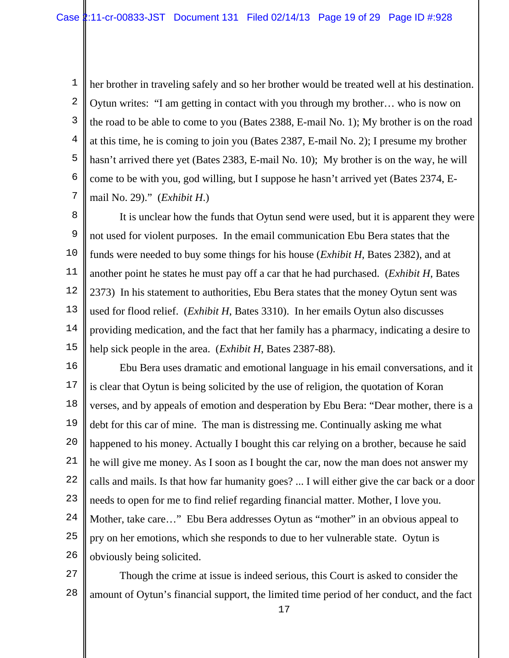1 2 3 4 5 6 7 her brother in traveling safely and so her brother would be treated well at his destination. Oytun writes: "I am getting in contact with you through my brother… who is now on the road to be able to come to you (Bates 2388, E-mail No. 1); My brother is on the road at this time, he is coming to join you (Bates 2387, E-mail No. 2); I presume my brother hasn't arrived there yet (Bates 2383, E-mail No. 10); My brother is on the way, he will come to be with you, god willing, but I suppose he hasn't arrived yet (Bates 2374, Email No. 29)." (*Exhibit H*.)

8 9 10 11 12 13 14 15 It is unclear how the funds that Oytun send were used, but it is apparent they were not used for violent purposes. In the email communication Ebu Bera states that the funds were needed to buy some things for his house (*Exhibit H*, Bates 2382), and at another point he states he must pay off a car that he had purchased. (*Exhibit H*, Bates 2373) In his statement to authorities, Ebu Bera states that the money Oytun sent was used for flood relief. (*Exhibit H*, Bates 3310). In her emails Oytun also discusses providing medication, and the fact that her family has a pharmacy, indicating a desire to help sick people in the area. (*Exhibit H*, Bates 2387-88).

16 17 18 19 20 21 22 23 24 25 26 Ebu Bera uses dramatic and emotional language in his email conversations, and it is clear that Oytun is being solicited by the use of religion, the quotation of Koran verses, and by appeals of emotion and desperation by Ebu Bera: "Dear mother, there is a debt for this car of mine. The man is distressing me. Continually asking me what happened to his money. Actually I bought this car relying on a brother, because he said he will give me money. As I soon as I bought the car, now the man does not answer my calls and mails. Is that how far humanity goes? ... I will either give the car back or a door needs to open for me to find relief regarding financial matter. Mother, I love you. Mother, take care..." Ebu Bera addresses Oytun as "mother" in an obvious appeal to pry on her emotions, which she responds to due to her vulnerable state. Oytun is obviously being solicited.

27 28 Though the crime at issue is indeed serious, this Court is asked to consider the amount of Oytun's financial support, the limited time period of her conduct, and the fact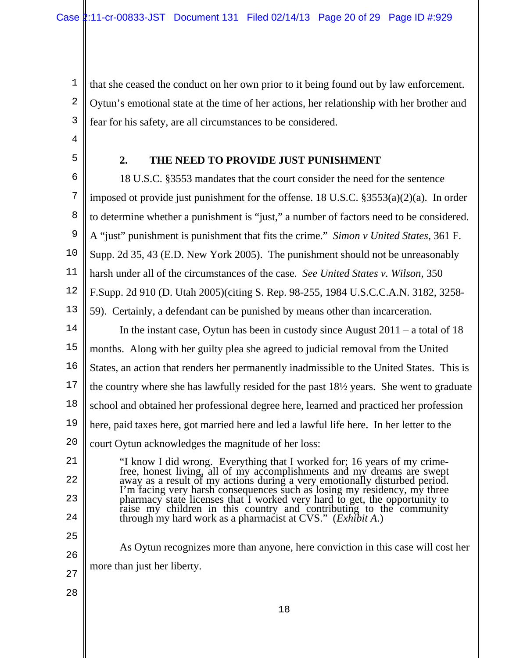1 2 3 that she ceased the conduct on her own prior to it being found out by law enforcement. Oytun's emotional state at the time of her actions, her relationship with her brother and fear for his safety, are all circumstances to be considered.

- 4
- 5

#### **2. THE NEED TO PROVIDE JUST PUNISHMENT**

6 7 8 9 10 11 12 13 14 15 16 17 18 19 20 21 22 23 24 25 26 27 18 U.S.C. §3553 mandates that the court consider the need for the sentence imposed ot provide just punishment for the offense. 18 U.S.C. §3553(a)(2)(a). In order to determine whether a punishment is "just," a number of factors need to be considered. A "just" punishment is punishment that fits the crime." *Simon v United States*, 361 F. Supp. 2d 35, 43 (E.D. New York 2005). The punishment should not be unreasonably harsh under all of the circumstances of the case. *See United States v. Wilson*, 350 F.Supp. 2d 910 (D. Utah 2005)(citing S. Rep. 98-255, 1984 U.S.C.C.A.N. 3182, 3258- 59). Certainly, a defendant can be punished by means other than incarceration. In the instant case, Oytun has been in custody since August  $2011 - a$  total of 18 months. Along with her guilty plea she agreed to judicial removal from the United States, an action that renders her permanently inadmissible to the United States. This is the country where she has lawfully resided for the past 18½ years. She went to graduate school and obtained her professional degree here, learned and practiced her profession here, paid taxes here, got married here and led a lawful life here. In her letter to the court Oytun acknowledges the magnitude of her loss: "I know I did wrong. Everything that I worked for; 16 years of my crime-<br>free, honest living, all of my accomplishments and my dreams are swept<br>away as a result of my actions during a very emotionally disturbed period. I'm facing very harsh consequences such as losing my residency, my three<br>pharmacy state licenses that I worked very hard to get, the opportunity to<br>raise my children in this country and contributing to the community<br>throug As Oytun recognizes more than anyone, here conviction in this case will cost her more than just her liberty.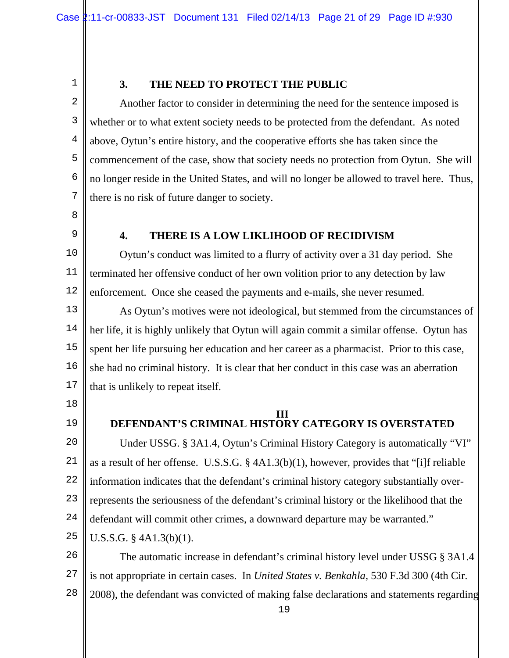3

5

6

#### **3. THE NEED TO PROTECT THE PUBLIC**

4 7 Another factor to consider in determining the need for the sentence imposed is whether or to what extent society needs to be protected from the defendant. As noted above, Oytun's entire history, and the cooperative efforts she has taken since the commencement of the case, show that society needs no protection from Oytun. She will no longer reside in the United States, and will no longer be allowed to travel here. Thus, there is no risk of future danger to society.

8 9

10

11

12

#### **4. THERE IS A LOW LIKLIHOOD OF RECIDIVISM**

Oytun's conduct was limited to a flurry of activity over a 31 day period. She terminated her offensive conduct of her own volition prior to any detection by law enforcement. Once she ceased the payments and e-mails, she never resumed.

13 14 15 16 17 As Oytun's motives were not ideological, but stemmed from the circumstances of her life, it is highly unlikely that Oytun will again commit a similar offense. Oytun has spent her life pursuing her education and her career as a pharmacist. Prior to this case, she had no criminal history. It is clear that her conduct in this case was an aberration that is unlikely to repeat itself.

18

19

#### **III DEFENDANT'S CRIMINAL HISTORY CATEGORY IS OVERSTATED**

20 21 22 23 24 25 Under USSG. § 3A1.4, Oytun's Criminal History Category is automatically "VI" as a result of her offense. U.S.S.G. § 4A1.3(b)(1), however, provides that "[i]f reliable information indicates that the defendant's criminal history category substantially overrepresents the seriousness of the defendant's criminal history or the likelihood that the defendant will commit other crimes, a downward departure may be warranted." U.S.S.G. § 4A1.3(b)(1).

26 27 28 The automatic increase in defendant's criminal history level under USSG § 3A1.4 is not appropriate in certain cases. In *United States v. Benkahla*, 530 F.3d 300 (4th Cir. 2008), the defendant was convicted of making false declarations and statements regarding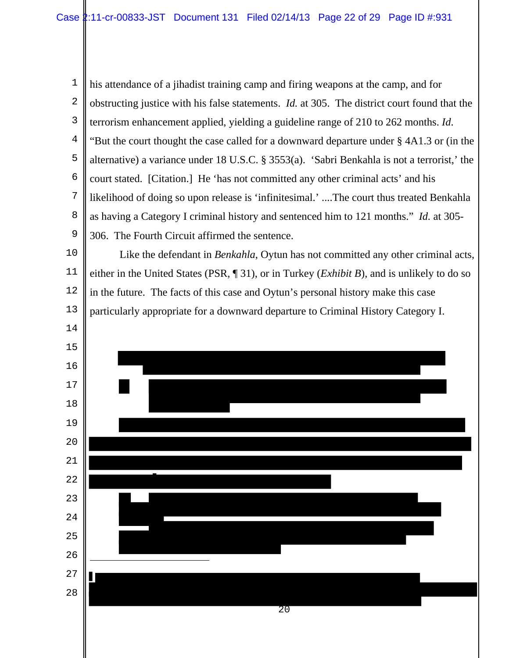his attendance of a jihadist training camp and firing weapons at the camp, and for obstructing justice with his false statements. *Id.* at 305. The district court found that the terrorism enhancement applied, yielding a guideline range of 210 to 262 months. *Id*. "But the court thought the case called for a downward departure under § 4A1.3 or (in the alternative) a variance under 18 U.S.C. § 3553(a). 'Sabri Benkahla is not a terrorist,' the court stated. [Citation.] He 'has not committed any other criminal acts' and his likelihood of doing so upon release is 'infinitesimal.' ....The court thus treated Benkahla as having a Category I criminal history and sentenced him to 121 months." *Id.* at 305- 306. The Fourth Circuit affirmed the sentence.

 Like the defendant in *Benkahla*, Oytun has not committed any other criminal acts, either in the United States (PSR, ¶ 31), or in Turkey (*Exhibit B*), and is unlikely to do so in the future. The facts of this case and Oytun's personal history make this case particularly appropriate for a downward departure to Criminal History Category I.

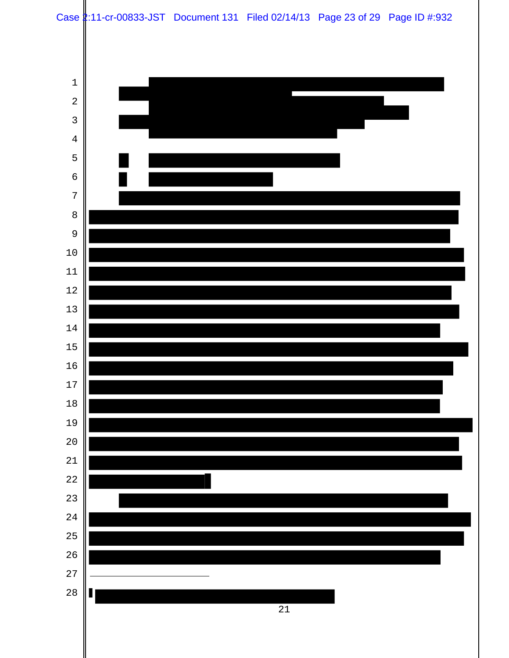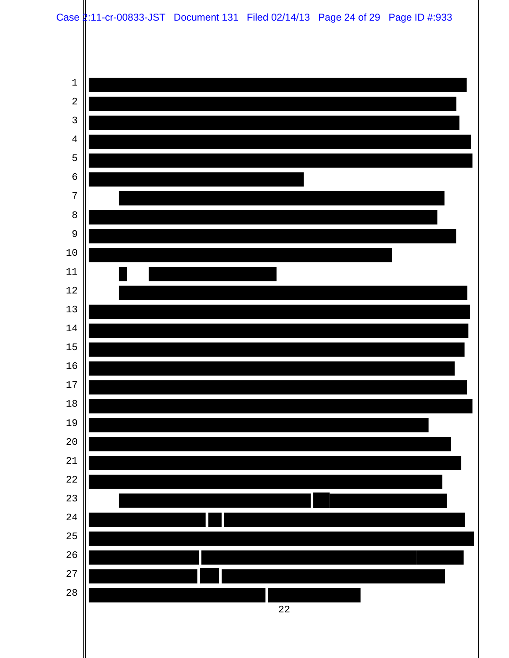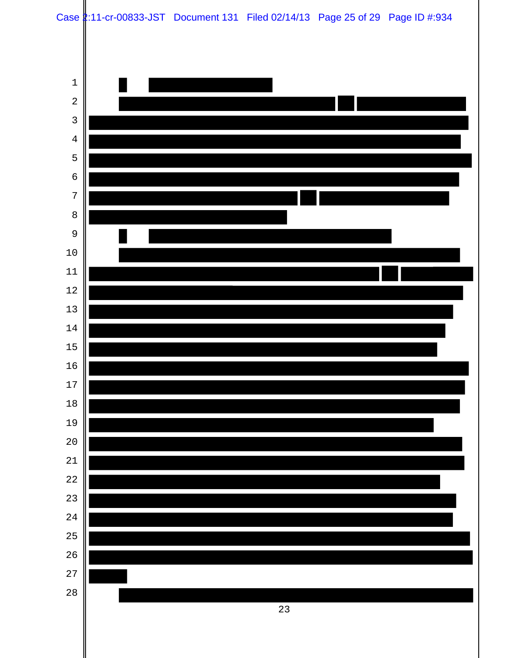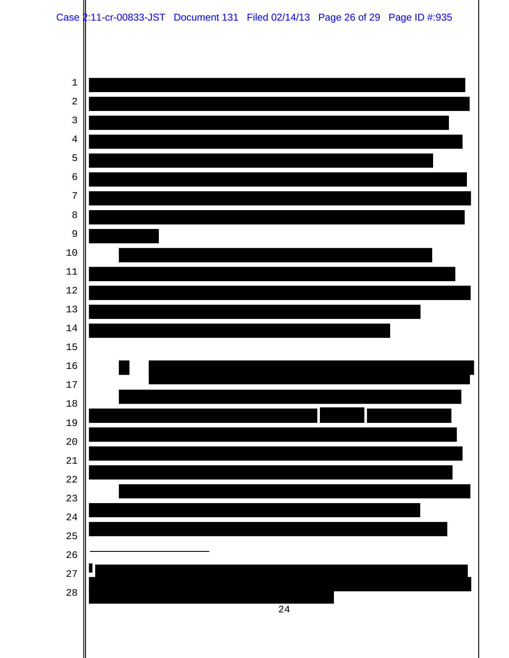

### Case 2:11-cr-00833-JST Document 131 Filed 02/14/13 Page 26 of 29 Page ID #:935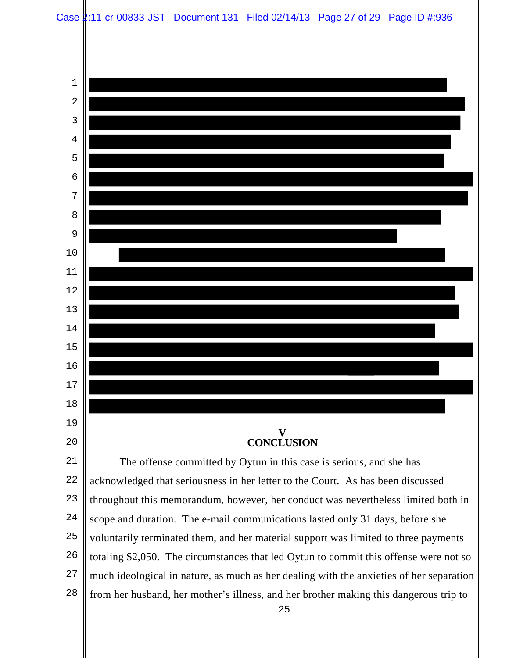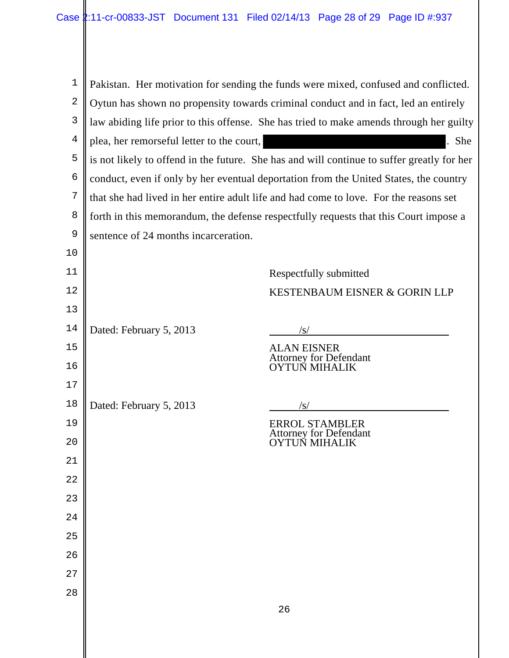| 1          |                                                                                         | Pakistan. Her motivation for sending the funds were mixed, confused and conflicted.        |  |
|------------|-----------------------------------------------------------------------------------------|--------------------------------------------------------------------------------------------|--|
| $\sqrt{2}$ | Oytun has shown no propensity towards criminal conduct and in fact, led an entirely     |                                                                                            |  |
| 3          | law abiding life prior to this offense. She has tried to make amends through her guilty |                                                                                            |  |
| 4          | plea, her remorseful letter to the court,                                               | She                                                                                        |  |
| 5          |                                                                                         | is not likely to offend in the future. She has and will continue to suffer greatly for her |  |
| 6          |                                                                                         | conduct, even if only by her eventual deportation from the United States, the country      |  |
| 7          |                                                                                         | that she had lived in her entire adult life and had come to love. For the reasons set      |  |
| 8          |                                                                                         | forth in this memorandum, the defense respectfully requests that this Court impose a       |  |
| 9          | sentence of 24 months incarceration.                                                    |                                                                                            |  |
| 10         |                                                                                         |                                                                                            |  |
| 11         |                                                                                         | Respectfully submitted                                                                     |  |
| 12         |                                                                                         | <b>KESTENBAUM EISNER &amp; GORIN LLP</b>                                                   |  |
| 13         |                                                                                         |                                                                                            |  |
| 14         | Dated: February 5, 2013                                                                 | $\sqrt{s}$                                                                                 |  |
| 15         |                                                                                         | <b>ALAN EISNER</b><br>Attorney for Defendant                                               |  |
| 16         |                                                                                         | <b>OYTUŇ MIHALIK</b>                                                                       |  |
| 17         |                                                                                         |                                                                                            |  |
| 18         | Dated: February 5, 2013                                                                 | $\sqrt{s/}$                                                                                |  |
| 19         |                                                                                         | <b>ERROL STAMBLER</b><br><b>Attorney for Defendant</b>                                     |  |
| 20         |                                                                                         | OYTUŇ MIHALIK                                                                              |  |
| 21         |                                                                                         |                                                                                            |  |
| 22<br>23   |                                                                                         |                                                                                            |  |
| 24         |                                                                                         |                                                                                            |  |
| 25         |                                                                                         |                                                                                            |  |
| 26         |                                                                                         |                                                                                            |  |
| 27         |                                                                                         |                                                                                            |  |
| 28         |                                                                                         |                                                                                            |  |
|            |                                                                                         | 26                                                                                         |  |
|            |                                                                                         |                                                                                            |  |